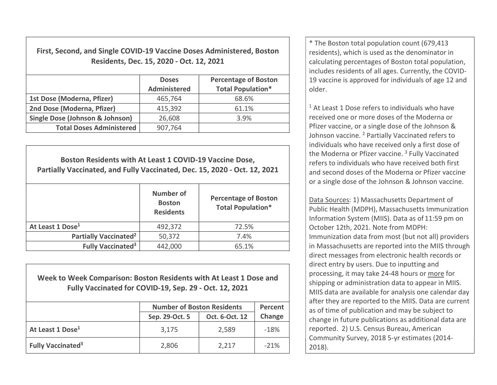First, Second, and Single COVID-19 Vaccine Doses Administered, Boston Residents, Dec. 15, 2020 - Oct. 12, 2021

|                                            | <b>Doses</b><br><b>Administered</b> | <b>Percentage of Boston</b><br><b>Total Population*</b> |
|--------------------------------------------|-------------------------------------|---------------------------------------------------------|
| 1st Dose (Moderna, Pfizer)                 | 465,764                             | 68.6%                                                   |
| 2nd Dose (Moderna, Pfizer)                 | 415,392                             | 61.1%                                                   |
| <b>Single Dose (Johnson &amp; Johnson)</b> | 26,608                              | 3.9%                                                    |
| <b>Total Doses Administered</b>            | 907,764                             |                                                         |

Boston Residents with At Least 1 COVID-19 Vaccine Dose, Partially Vaccinated, and Fully Vaccinated, Dec. 15, 2020 - Oct. 12, 2021 Number of **Boston Residents** Percentage of Boston Total Population\* At Least 1 Dose<sup>1</sup> 1992.372 at Least 1 Pose<sup>1</sup> 1992.372 at 22.5% Partially Vaccinated<sup>2</sup>  $\vert$  50,372  $\vert$  7.4% Fully Vaccinated<sup>3</sup>  $442,000$   $65.1\%$ 

Week to Week Comparison: Boston Residents with At Least 1 Dose and Fully Vaccinated for COVID-19, Sep. 29 - Oct. 12, 2021

|                                      | <b>Number of Boston Residents</b> | Percent        |        |
|--------------------------------------|-----------------------------------|----------------|--------|
|                                      | Sep. 29-Oct. 5                    | Oct. 6-Oct. 12 | Change |
| At Least 1 Dose <sup>1</sup>         | 3,175                             | 2,589          | $-18%$ |
| <b>Fully Vaccinated</b> <sup>3</sup> | 2,806                             | 2,217          | $-21%$ |

\* The Boston total population count (679,413 residents), which is used as the denominator in calculating percentages of Boston total population, includes residents of all ages. Currently, the COVID-19 vaccine is approved for individuals of age 12 and older.

<sup>1</sup> At Least 1 Dose refers to individuals who have received one or more doses of the Moderna or Pfizer vaccine, or a single dose of the Johnson & Johnson vaccine. <sup>2</sup> Partially Vaccinated refers to individuals who have received only a first dose of the Moderna or Pfizer vaccine.<sup>3</sup> Fully Vaccinated refers to individuals who have received both first and second doses of the Moderna or Pfizer vaccine or a single dose of the Johnson & Johnson vaccine.

Data Sources: 1) Massachusetts Department of Public Health (MDPH), Massachusetts Immunization Information System (MIIS). Data as of 11:59 pm on October 12th, 2021. Note from MDPH: Immunization data from most (but not all) providers in Massachusetts are reported into the MIIS through direct messages from electronic health records or direct entry by users. Due to inputting and processing, it may take 24-48 hours or more for shipping or administration data to appear in MIIS. MIIS data are available for analysis one calendar day after they are reported to the MIIS. Data are current as of time of publication and may be subject to change in future publications as additional data are reported. 2) U.S. Census Bureau, American Community Survey, 2018 5-yr estimates (2014- 2018).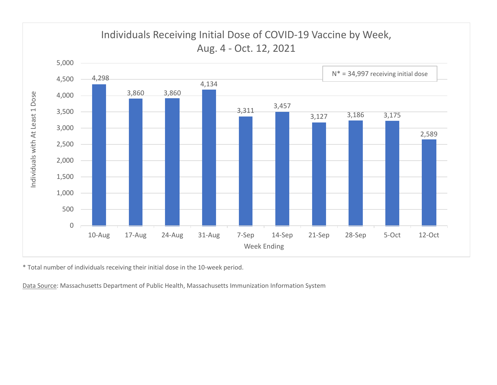

\* Total number of individuals receiving their initial dose in the 10-week period.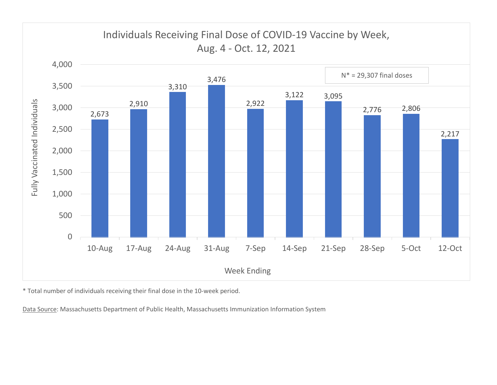

\* Total number of individuals receiving their final dose in the 10-week period.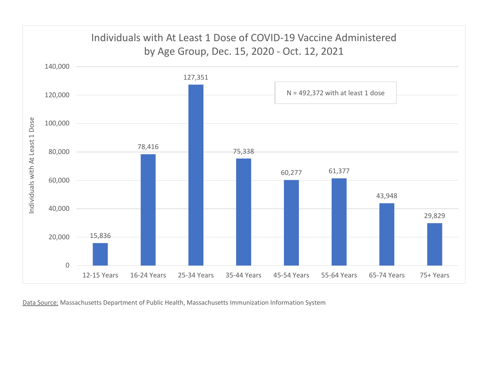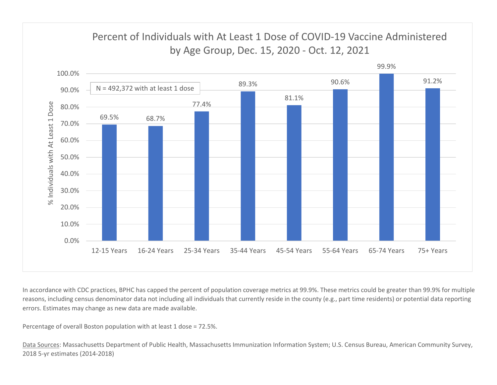

In accordance with CDC practices, BPHC has capped the percent of population coverage metrics at 99.9%. These metrics could be greater than 99.9% for multiple reasons, including census denominator data not including all individuals that currently reside in the county (e.g., part time residents) or potential data reporting errors. Estimates may change as new data are made available.

Percentage of overall Boston population with at least 1 dose = 72.5%.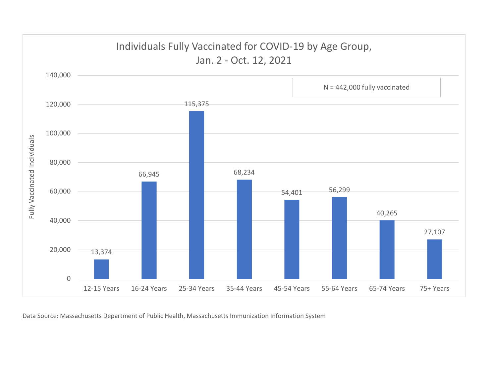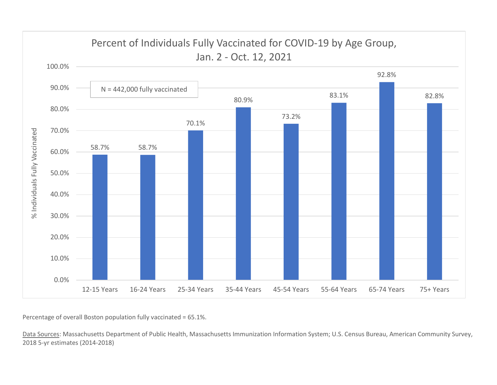

Percentage of overall Boston population fully vaccinated = 65.1%.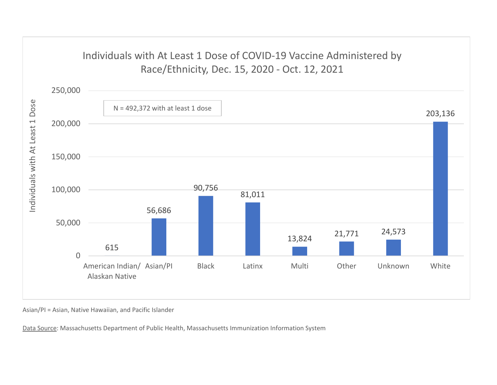## Individuals with At Least 1 Dose of COVID-19 Vaccine Administered by



Asian/PI = Asian, Native Hawaiian, and Pacific Islander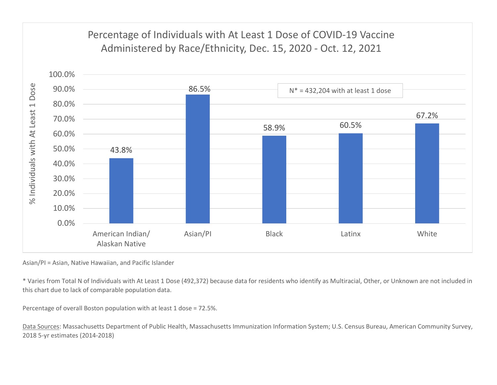## Percentage of Individuals with At Least 1 Dose of COVID-19 Vaccine



Asian/PI = Asian, Native Hawaiian, and Pacific Islander

\* Varies from Total N of Individuals with At Least 1 Dose (492,372) because data for residents who identify as Multiracial, Other, or Unknown are not included in this chart due to lack of comparable population data.

Percentage of overall Boston population with at least 1 dose = 72.5%.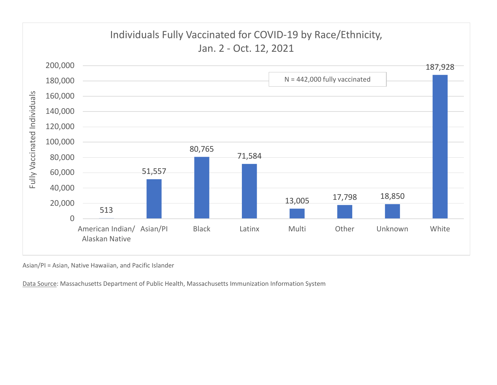

Asian/PI = Asian, Native Hawaiian, and Pacific Islander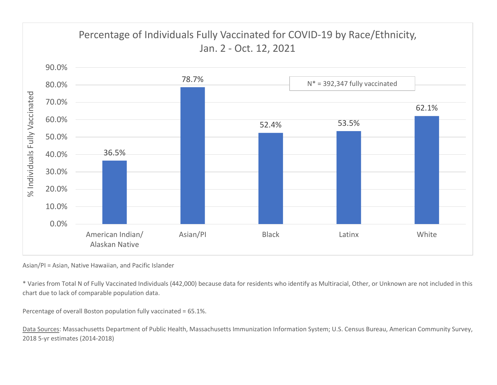

Asian/PI = Asian, Native Hawaiian, and Pacific Islander

\* Varies from Total N of Fully Vaccinated Individuals (442,000) because data for residents who identify as Multiracial, Other, or Unknown are not included in this chart due to lack of comparable population data.

Percentage of overall Boston population fully vaccinated = 65.1%.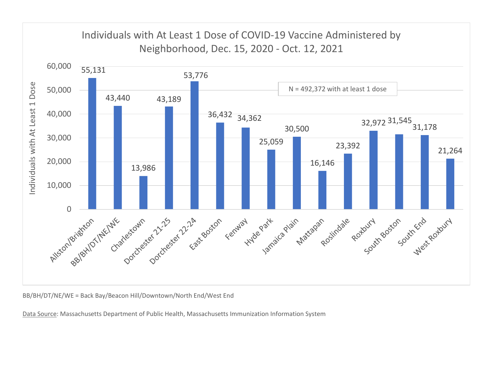

BB/BH/DT/NE/WE = Back Bay/Beacon Hill/Downtown/North End/West End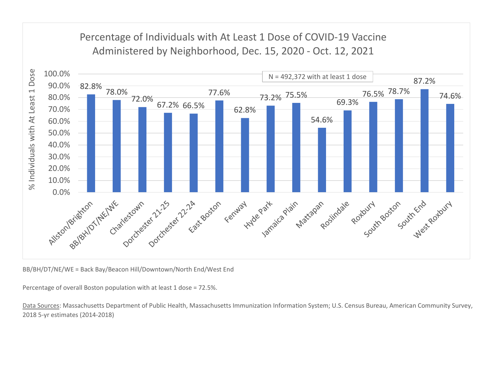## Percentage of Individuals with At Least 1 Dose of COVID-19 Vaccine



BB/BH/DT/NE/WE = Back Bay/Beacon Hill/Downtown/North End/West End

Percentage of overall Boston population with at least 1 dose = 72.5%.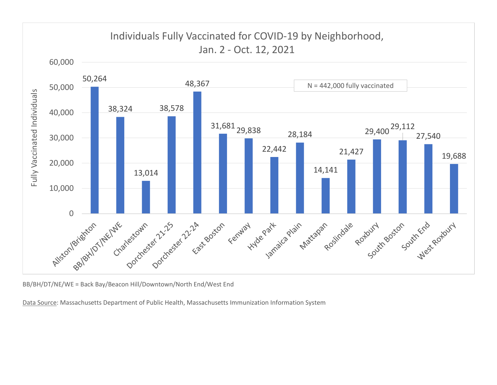

BB/BH/DT/NE/WE = Back Bay/Beacon Hill/Downtown/North End/West End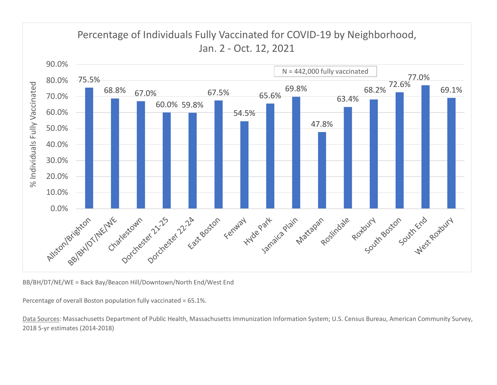

BB/BH/DT/NE/WE = Back Bay/Beacon Hill/Downtown/North End/West End

Percentage of overall Boston population fully vaccinated = 65.1%.